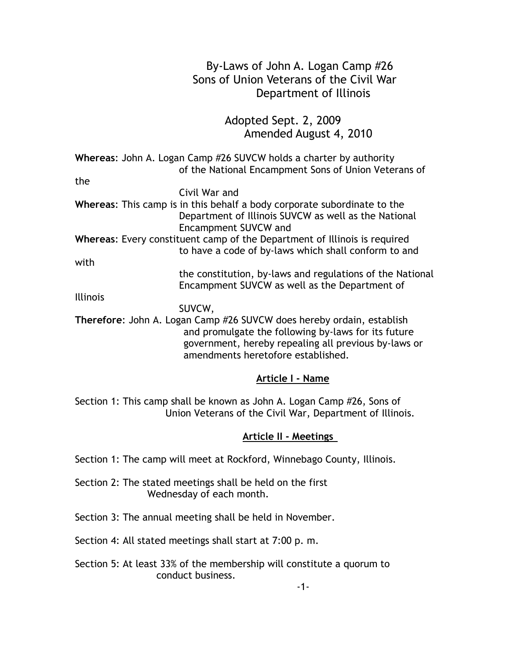# By-Laws of John A. Logan Camp #26 Sons of Union Veterans of the Civil War Department of Illinois Adopted Sept. 2, 2009 Amended August 4, 2010 **Whereas**: John A. Logan Camp #26 SUVCW holds a charter by authority of the National Encampment Sons of Union Veterans of the Civil War and **Whereas**: This camp is in this behalf a body corporate subordinate to the Department of Illinois SUVCW as well as the National Encampment SUVCW and **Whereas**: Every constituent camp of the Department of Illinois is required to have a code of by-laws which shall conform to and with the constitution, by-laws and regulations of the National Encampment SUVCW as well as the Department of Illinois SUVCW, **Therefore**: John A. Logan Camp #26 SUVCW does hereby ordain, establish and promulgate the following by-laws for its future government, hereby repealing all previous by-laws or amendments heretofore established. **Article I - Name** Section 1: This camp shall be known as John A. Logan Camp #26, Sons of Union Veterans of the Civil War, Department of Illinois.

## **Article II - Meetings**

Section 1: The camp will meet at Rockford, Winnebago County, Illinois.

- Section 2: The stated meetings shall be held on the first Wednesday of each month.
- Section 3: The annual meeting shall be held in November.

Section 4: All stated meetings shall start at 7:00 p. m.

Section 5: At least 33% of the membership will constitute a quorum to conduct business.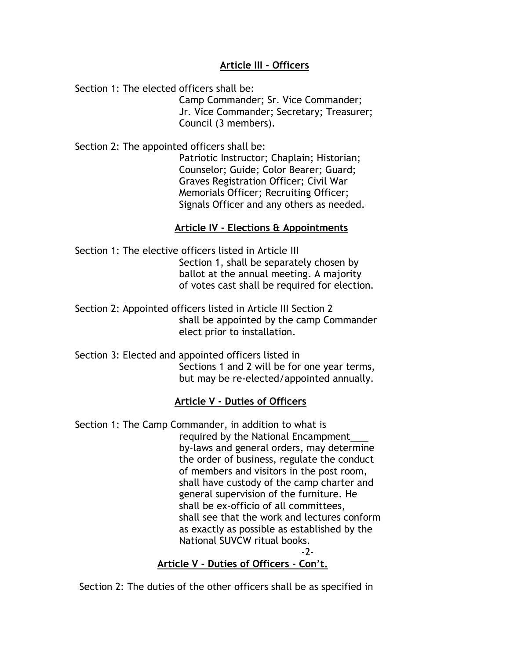# **Article III - Officers**

Section 1: The elected officers shall be:

 Camp Commander; Sr. Vice Commander; Jr. Vice Commander; Secretary; Treasurer; Council (3 members).

Section 2: The appointed officers shall be:

 Patriotic Instructor; Chaplain; Historian; Counselor; Guide; Color Bearer; Guard; Graves Registration Officer; Civil War Memorials Officer; Recruiting Officer; Signals Officer and any others as needed.

# **Article IV - Elections & Appointments**

Section 1: The elective officers listed in Article III Section 1, shall be separately chosen by ballot at the annual meeting. A majority of votes cast shall be required for election.

Section 2: Appointed officers listed in Article III Section 2 shall be appointed by the camp Commander elect prior to installation.

Section 3: Elected and appointed officers listed in Sections 1 and 2 will be for one year terms, but may be re-elected/appointed annually.

# **Article V - Duties of Officers**

Section 1: The Camp Commander, in addition to what is required by the National Encampment by-laws and general orders, may determine the order of business, regulate the conduct of members and visitors in the post room, shall have custody of the camp charter and general supervision of the furniture. He shall be ex-officio of all committees, shall see that the work and lectures conform as exactly as possible as established by the National SUVCW ritual books. -2-

**Article V - Duties of Officers - Con't.**

Section 2: The duties of the other officers shall be as specified in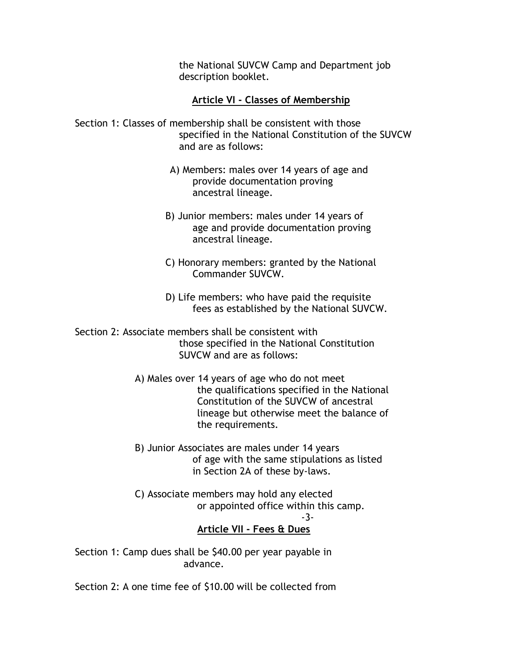the National SUVCW Camp and Department job description booklet.

# **Article VI - Classes of Membership**

Section 1: Classes of membership shall be consistent with those specified in the National Constitution of the SUVCW and are as follows:

- A) Members: males over 14 years of age and provide documentation proving ancestral lineage.
- B) Junior members: males under 14 years of age and provide documentation proving ancestral lineage.
- C) Honorary members: granted by the National Commander SUVCW.
- D) Life members: who have paid the requisite fees as established by the National SUVCW.

Section 2: Associate members shall be consistent with those specified in the National Constitution SUVCW and are as follows:

> A) Males over 14 years of age who do not meet the qualifications specified in the National Constitution of the SUVCW of ancestral lineage but otherwise meet the balance of the requirements.

- B) Junior Associates are males under 14 years of age with the same stipulations as listed in Section 2A of these by-laws.
- C) Associate members may hold any elected or appointed office within this camp.

#### -3- **Article VII - Fees & Dues**

Section 1: Camp dues shall be \$40.00 per year payable in advance.

Section 2: A one time fee of \$10.00 will be collected from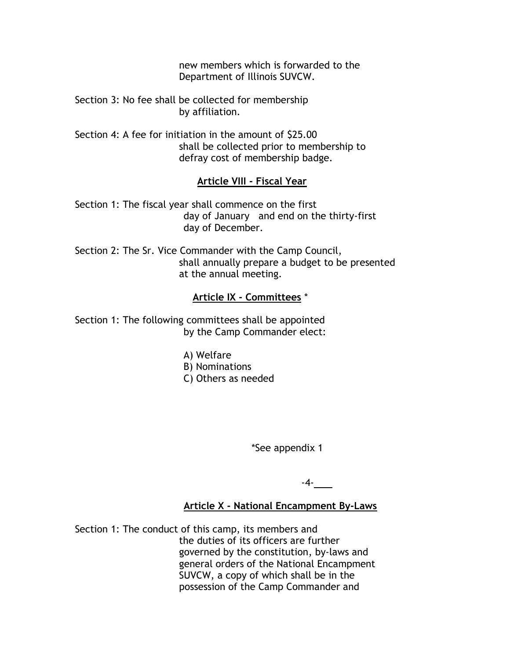new members which is forwarded to the Department of Illinois SUVCW.

Section 3: No fee shall be collected for membership by affiliation.

Section 4: A fee for initiation in the amount of \$25.00 shall be collected prior to membership to defray cost of membership badge.

# **Article VIII - Fiscal Year**

Section 1: The fiscal year shall commence on the first day of January and end on the thirty-first day of December.

Section 2: The Sr. Vice Commander with the Camp Council, shall annually prepare a budget to be presented at the annual meeting.

## **Article IX - Committees** \*

Section 1: The following committees shall be appointed by the Camp Commander elect:

- A) Welfare
- B) Nominations
- C) Others as needed

\*See appendix 1

-4-

## **Article X - National Encampment By-Laws**

Section 1: The conduct of this camp, its members and the duties of its officers are further governed by the constitution, by-laws and general orders of the National Encampment SUVCW, a copy of which shall be in the possession of the Camp Commander and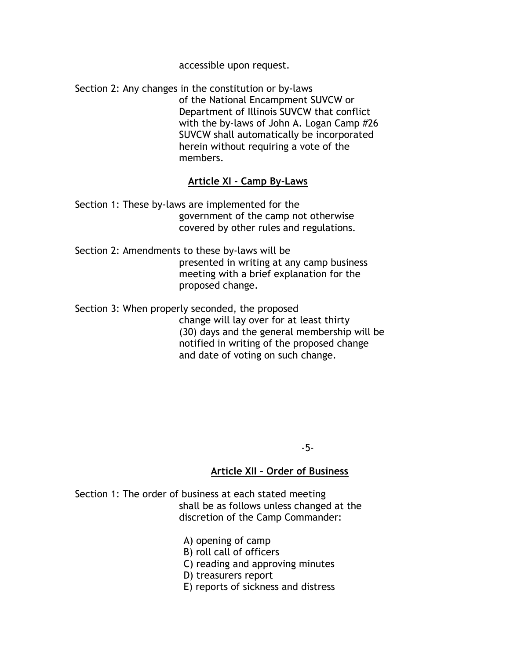accessible upon request.

Section 2: Any changes in the constitution or by-laws of the National Encampment SUVCW or Department of Illinois SUVCW that conflict with the by-laws of John A. Logan Camp #26 SUVCW shall automatically be incorporated herein without requiring a vote of the members.

# **Article XI - Camp By-Laws**

Section 1: These by-laws are implemented for the government of the camp not otherwise covered by other rules and regulations.

Section 2: Amendments to these by-laws will be presented in writing at any camp business meeting with a brief explanation for the proposed change.

Section 3: When properly seconded, the proposed change will lay over for at least thirty (30) days and the general membership will be notified in writing of the proposed change and date of voting on such change.

-5-

## **Article XII - Order of Business**

Section 1: The order of business at each stated meeting shall be as follows unless changed at the discretion of the Camp Commander:

A) opening of camp

- B) roll call of officers
- C) reading and approving minutes

D) treasurers report

E) reports of sickness and distress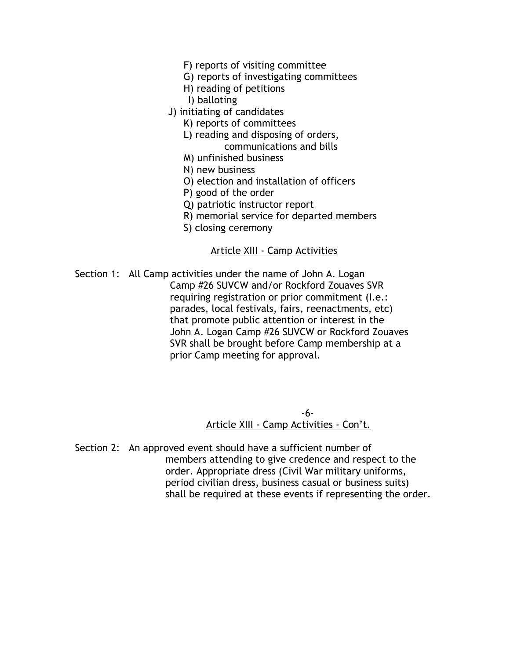- F) reports of visiting committee
- G) reports of investigating committees
- H) reading of petitions
- I) balloting
- J) initiating of candidates
	- K) reports of committees
	- L) reading and disposing of orders, communications and bills
	- M) unfinished business
	- N) new business
	- O) election and installation of officers
	- P) good of the order
	- Q) patriotic instructor report
	- R) memorial service for departed members
	- S) closing ceremony

#### Article XIII - Camp Activities

Section 1: All Camp activities under the name of John A. Logan Camp #26 SUVCW and/or Rockford Zouaves SVR requiring registration or prior commitment (I.e.: parades, local festivals, fairs, reenactments, etc) that promote public attention or interest in the John A. Logan Camp #26 SUVCW or Rockford Zouaves SVR shall be brought before Camp membership at a prior Camp meeting for approval.

 -6- Article XIII - Camp Activities - Con't.

Section 2: An approved event should have a sufficient number of members attending to give credence and respect to the order. Appropriate dress (Civil War military uniforms, period civilian dress, business casual or business suits) shall be required at these events if representing the order.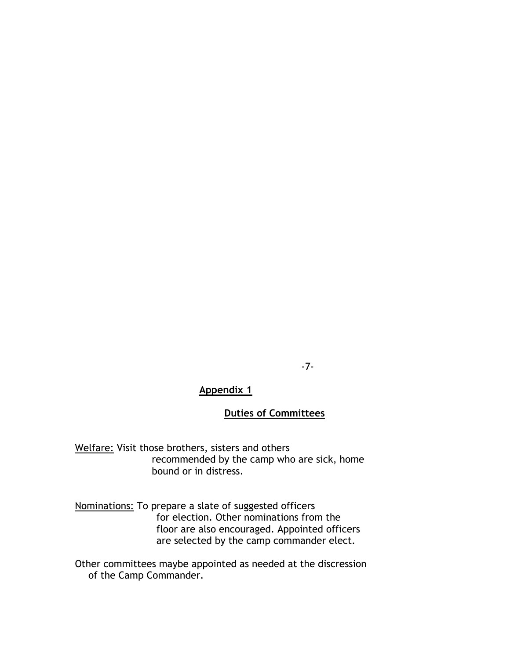-7-

# **Appendix 1**

# **Duties of Committees**

Welfare: Visit those brothers, sisters and others recommended by the camp who are sick, home bound or in distress.

Nominations: To prepare a slate of suggested officers for election. Other nominations from the floor are also encouraged. Appointed officers are selected by the camp commander elect.

Other committees maybe appointed as needed at the discression of the Camp Commander.